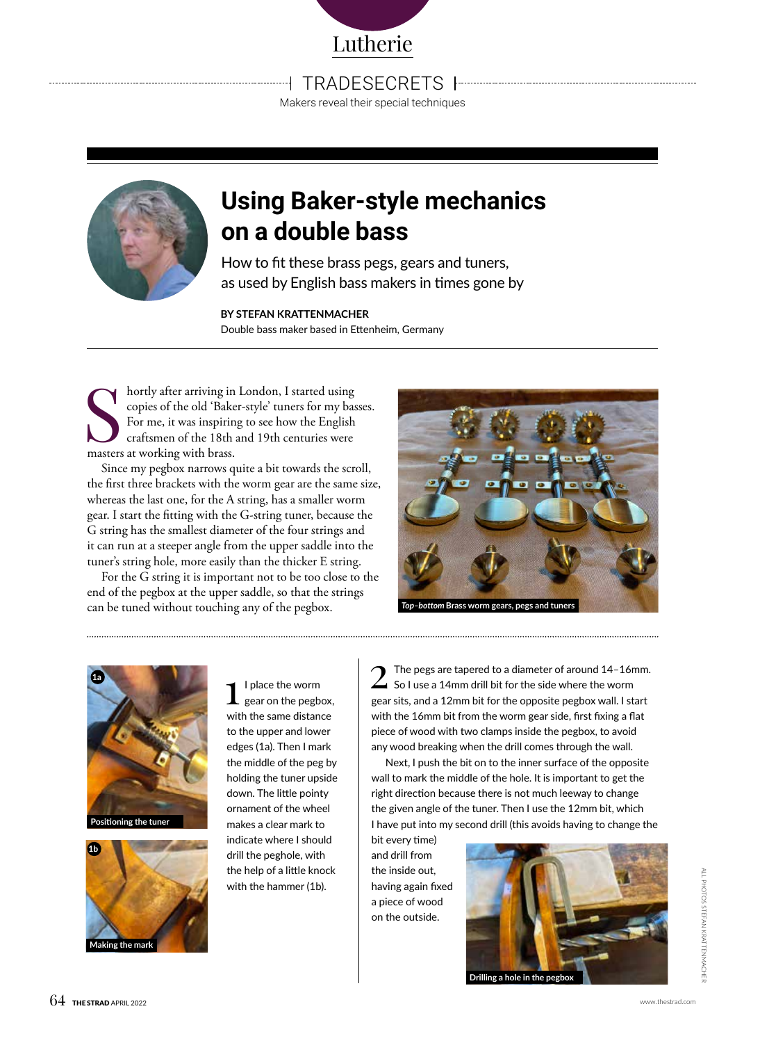

TRADE SECRETS

Makers reveal their special techniques



## **Using Baker-style mechanics on a double bass**

How to fit these brass pegs, gears and tuners, as used by English bass makers in times gone by

**BY STEFAN KRATTENMACHER** Double bass maker based in Ettenheim, Germany

Solution and the solution of the old 'Bake For me, it was inspiring<br>For me, it was inspiring<br>craftsmen of the 18th and the set working with brass. hortly after arriving in London, I started using copies of the old 'Baker-style' tuners for my basses. For me, it was inspiring to see how the English craftsmen of the 18th and 19th centuries were

Since my pegbox narrows quite a bit towards the scroll, the first three brackets with the worm gear are the same size, whereas the last one, for the A string, has a smaller worm gear. I start the fitting with the G-string tuner, because the G string has the smallest diameter of the four strings and it can run at a steeper angle from the upper saddle into the tuner's string hole, more easily than the thicker E string.

For the G string it is important not to be too close to the end of the pegbox at the upper saddle, so that the strings can be tuned without touching any of the pegbox.









 $\prod_{\text{gen}}$  I place the worm<br>gear on the pegbox, with the same distance to the upper and lower edges (1a). Then I mark the middle of the peg by holding the tuner upside down. The little pointy ornament of the wheel makes a clear mark to indicate where I should drill the peghole, with the help of a little knock with the hammer (1b).

The pegs are tapered to a diameter of around 14-16mm.  $\Delta$  So I use a 14mm drill bit for the side where the worm gear sits, and a 12mm bit for the opposite pegbox wall. I start with the 16mm bit from the worm gear side, first fixing a flat piece of wood with two clamps inside the pegbox, to avoid any wood breaking when the drill comes through the wall.

Next, I push the bit on to the inner surface of the opposite wall to mark the middle of the hole. It is important to get the right direction because there is not much leeway to change the given angle of the tuner. Then I use the 12mm bit, which I have put into my second drill (this avoids having to change the

bit every time) and drill from the inside out, having again fixed a piece of wood on the outside.



**Drilling a hole in the pegbox**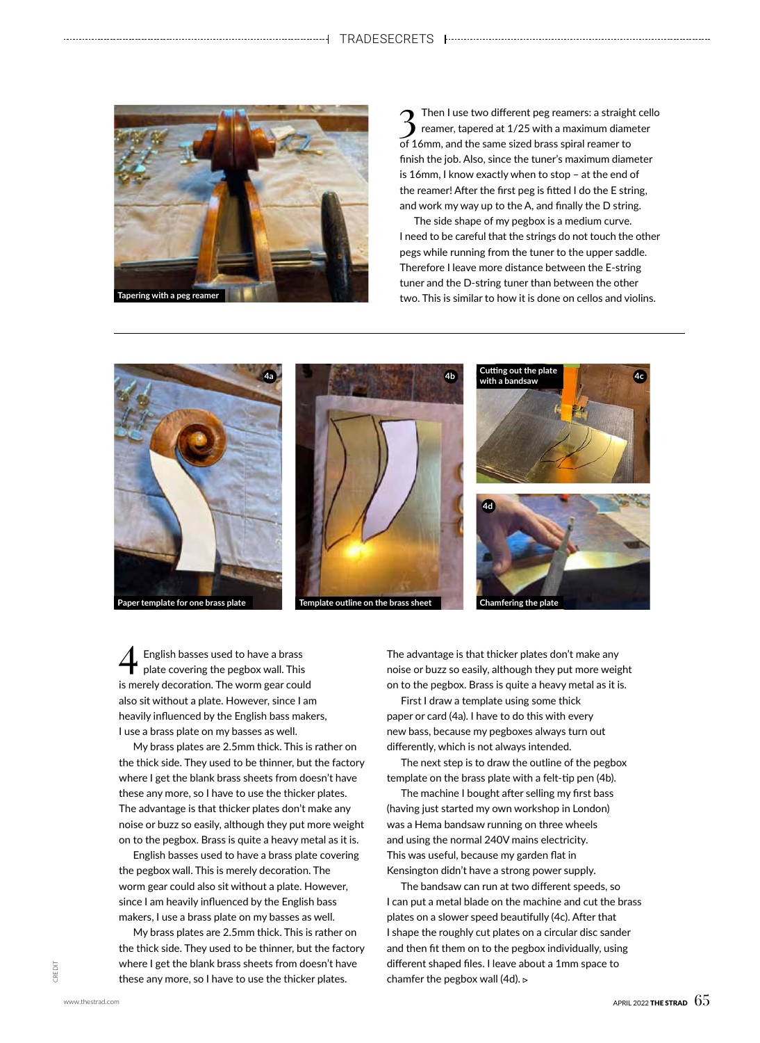

 $\sum$  Then I use two different peg reamers: a straight cello reamer, tapered at 1/25 with a maximum diameter of 16mm, and the same sized brass spiral reamer to finish the job. Also, since the tuner's maximum diameter is 16mm, I know exactly when to stop – at the end of the reamer! After the first peg is fitted I do the E string, and work my way up to the A, and finally the D string.

The side shape of my pegbox is a medium curve. I need to be careful that the strings do not touch the other pegs while running from the tuner to the upper saddle. Therefore I leave more distance between the E-string tuner and the D-string tuner than between the other two. This is similar to how it is done on cellos and violins.



4 English basses used to have a brass plate covering the pegbox wall. This is merely decoration. The worm gear could also sit without a plate. However, since I am heavily influenced by the English bass makers, I use a brass plate on my basses as well.

My brass plates are 2.5mm thick. This is rather on the thick side. They used to be thinner, but the factory where I get the blank brass sheets from doesn't have these any more, so I have to use the thicker plates. The advantage is that thicker plates don't make any noise or buzz so easily, although they put more weight on to the pegbox. Brass is quite a heavy metal as it is.

English basses used to have a brass plate covering the pegbox wall. This is merely decoration. The worm gear could also sit without a plate. However, since I am heavily influenced by the English bass makers, I use a brass plate on my basses as well.

My brass plates are 2.5mm thick. This is rather on the thick side. They used to be thinner, but the factory where I get the blank brass sheets from doesn't have these any more, so I have to use the thicker plates.

The advantage is that thicker plates don't make any noise or buzz so easily, although they put more weight on to the pegbox. Brass is quite a heavy metal as it is.

First I draw a template using some thick paper or card (4a). I have to do this with every new bass, because my pegboxes always turn out differently, which is not always intended.

The next step is to draw the outline of the pegbox template on the brass plate with a felt-tip pen (4b).

The machine I bought after selling my first bass (having just started my own workshop in London) was a Hema bandsaw running on three wheels and using the normal 240V mains electricity. This was useful, because my garden flat in Kensington didn't have a strong power supply.

The bandsaw can run at two different speeds, so I can put a metal blade on the machine and cut the brass plates on a slower speed beautifully (4c). After that I shape the roughly cut plates on a circular disc sander and then fit them on to the pegbox individually, using different shaped files. I leave about a 1mm space to chamfer the pegbox wall (4d).  $\triangleright$